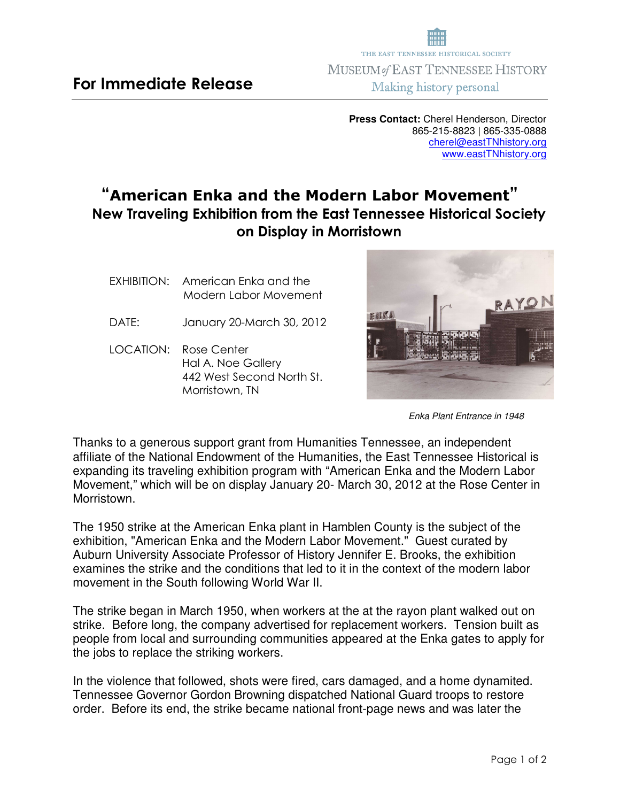## **For Immediate Release**

**Press Contact:** Cherel Henderson, Director 865-215-8823 | 865-335-0888 cherel@eastTNhistory.org www.eastTNhistory.org

THE EAST TENNESSEE HISTORICAL SOCIETY **MUSEUM of EAST TENNESSEE HISTORY** Making history personal

## **"American Enka and the Modern Labor Movement" New Traveling Exhibition from the East Tennessee Historical Society on Display in Morristown**

- EXHIBITION:American Enka and the Modern Labor Movement
- DATE: January 20-March 30, 2012
- LOCATION: Rose Center Hal A. Noe Gallery 442 West Second North St. Morristown, TN

Thanks to a generous support grant from Humanities Tennessee, an independent affiliate of the National Endowment of the Humanities, the East Tennessee Historical is expanding its traveling exhibition program with "American Enka and the Modern Labor Movement," which will be on display January 20- March 30, 2012 at the Rose Center in Morristown.

The 1950 strike at the American Enka plant in Hamblen County is the subject of the exhibition, "American Enka and the Modern Labor Movement." Guest curated by Auburn University Associate Professor of History Jennifer E. Brooks, the exhibition examines the strike and the conditions that led to it in the context of the modern labor movement in the South following World War II.

The strike began in March 1950, when workers at the at the rayon plant walked out on strike. Before long, the company advertised for replacement workers. Tension built as people from local and surrounding communities appeared at the Enka gates to apply for the jobs to replace the striking workers.

In the violence that followed, shots were fired, cars damaged, and a home dynamited. Tennessee Governor Gordon Browning dispatched National Guard troops to restore order. Before its end, the strike became national front-page news and was later the



Enka Plant Entrance in 1948